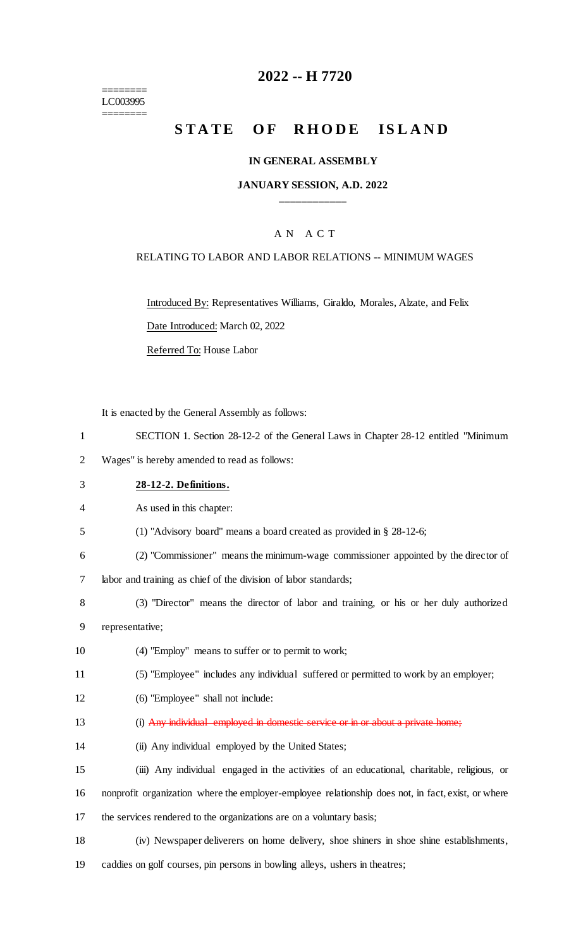======== LC003995 ========

# **2022 -- H 7720**

# **STATE OF RHODE ISLAND**

#### **IN GENERAL ASSEMBLY**

#### **JANUARY SESSION, A.D. 2022 \_\_\_\_\_\_\_\_\_\_\_\_**

### A N A C T

#### RELATING TO LABOR AND LABOR RELATIONS -- MINIMUM WAGES

Introduced By: Representatives Williams, Giraldo, Morales, Alzate, and Felix

Date Introduced: March 02, 2022

Referred To: House Labor

It is enacted by the General Assembly as follows:

- 1 SECTION 1. Section 28-12-2 of the General Laws in Chapter 28-12 entitled "Minimum
- 2 Wages" is hereby amended to read as follows:
- 3 **28-12-2. Definitions.**

4 As used in this chapter:

- 5 (1) "Advisory board" means a board created as provided in § 28-12-6;
- 6 (2) "Commissioner" means the minimum-wage commissioner appointed by the director of

7 labor and training as chief of the division of labor standards;

- 8 (3) "Director" means the director of labor and training, or his or her duly authorized 9 representative;
- 10 (4) "Employ" means to suffer or to permit to work;
- 11 (5) "Employee" includes any individual suffered or permitted to work by an employer;
- 12 (6) "Employee" shall not include:
- 13 (i) Any individual employed in domestic service or in or about a private home;
- 14 (ii) Any individual employed by the United States;
- 15 (iii) Any individual engaged in the activities of an educational, charitable, religious, or
- 16 nonprofit organization where the employer-employee relationship does not, in fact, exist, or where
- 17 the services rendered to the organizations are on a voluntary basis;
- 18 (iv) Newspaper deliverers on home delivery, shoe shiners in shoe shine establishments,
- 19 caddies on golf courses, pin persons in bowling alleys, ushers in theatres;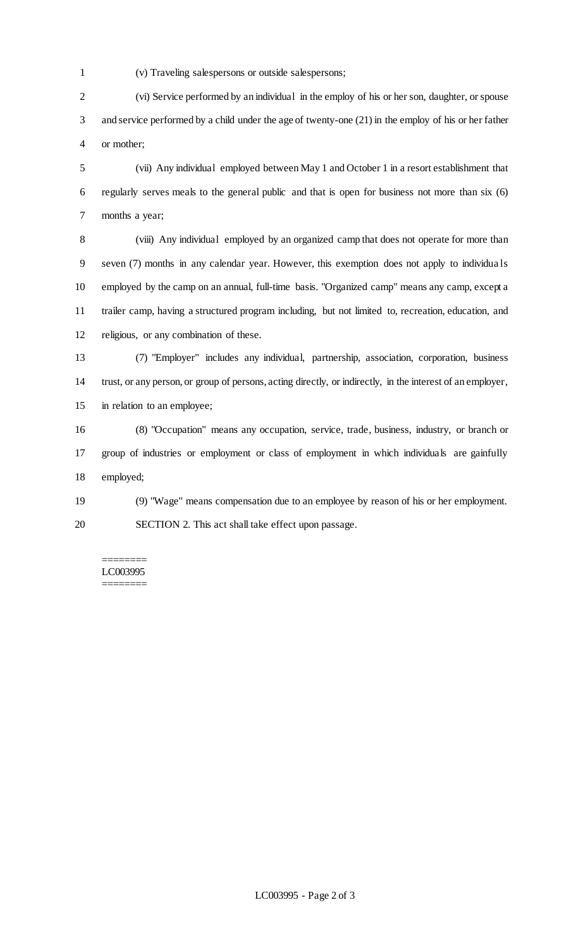- 
- (v) Traveling salespersons or outside salespersons;

 (vi) Service performed by an individual in the employ of his or her son, daughter, or spouse and service performed by a child under the age of twenty-one (21) in the employ of his or her father or mother;

 (vii) Any individual employed between May 1 and October 1 in a resort establishment that regularly serves meals to the general public and that is open for business not more than six (6) months a year;

 (viii) Any individual employed by an organized camp that does not operate for more than seven (7) months in any calendar year. However, this exemption does not apply to individua ls employed by the camp on an annual, full-time basis. "Organized camp" means any camp, except a trailer camp, having a structured program including, but not limited to, recreation, education, and religious, or any combination of these.

 (7) "Employer" includes any individual, partnership, association, corporation, business trust, or any person, or group of persons, acting directly, or indirectly, in the interest of an employer, in relation to an employee;

 (8) "Occupation" means any occupation, service, trade, business, industry, or branch or group of industries or employment or class of employment in which individuals are gainfully employed;

 (9) "Wage" means compensation due to an employee by reason of his or her employment. SECTION 2. This act shall take effect upon passage.

======== LC003995 ========